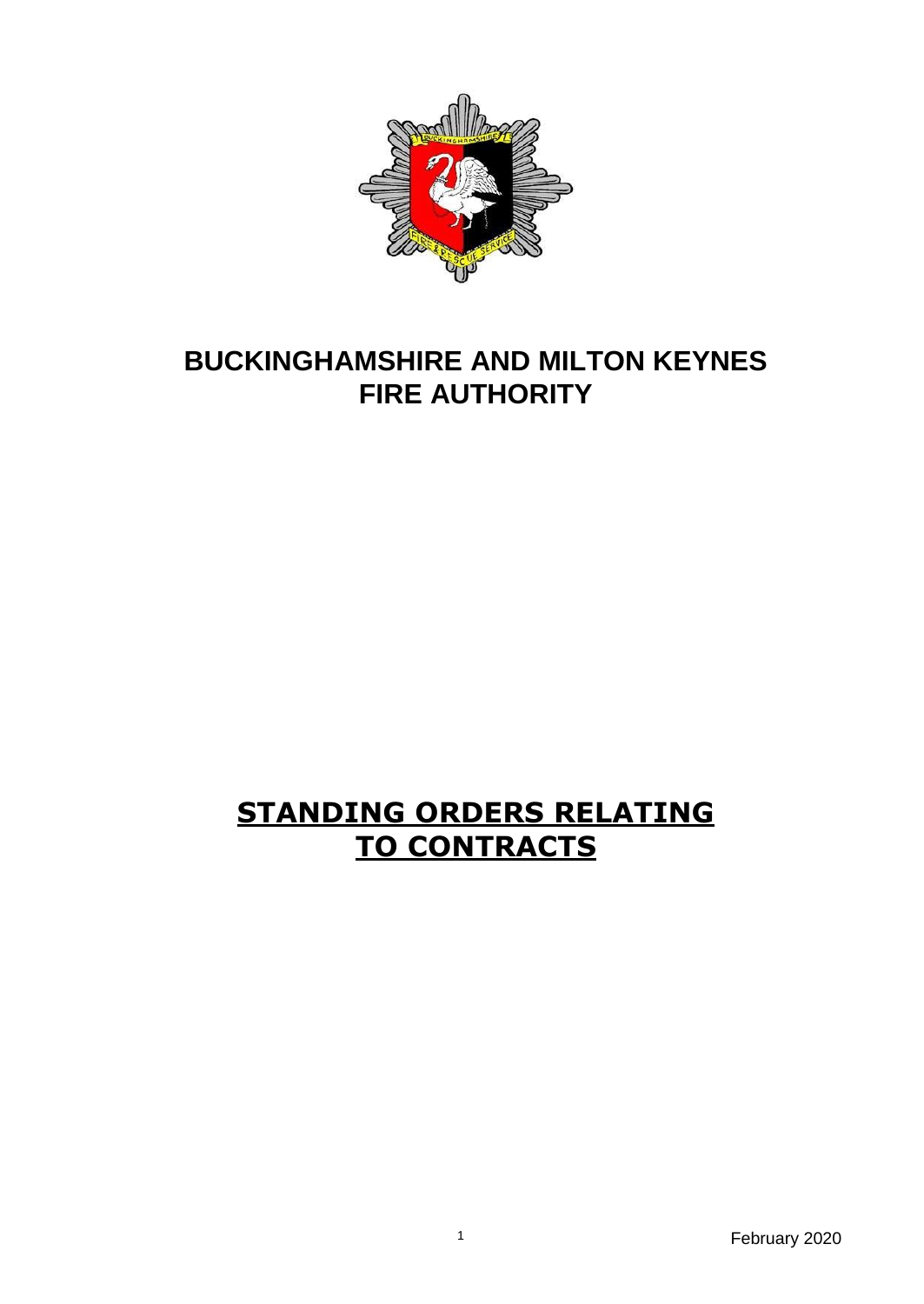

# **BUCKINGHAMSHIRE AND MILTON KEYNES FIRE AUTHORITY**

# **STANDING ORDERS RELATING TO CONTRACTS**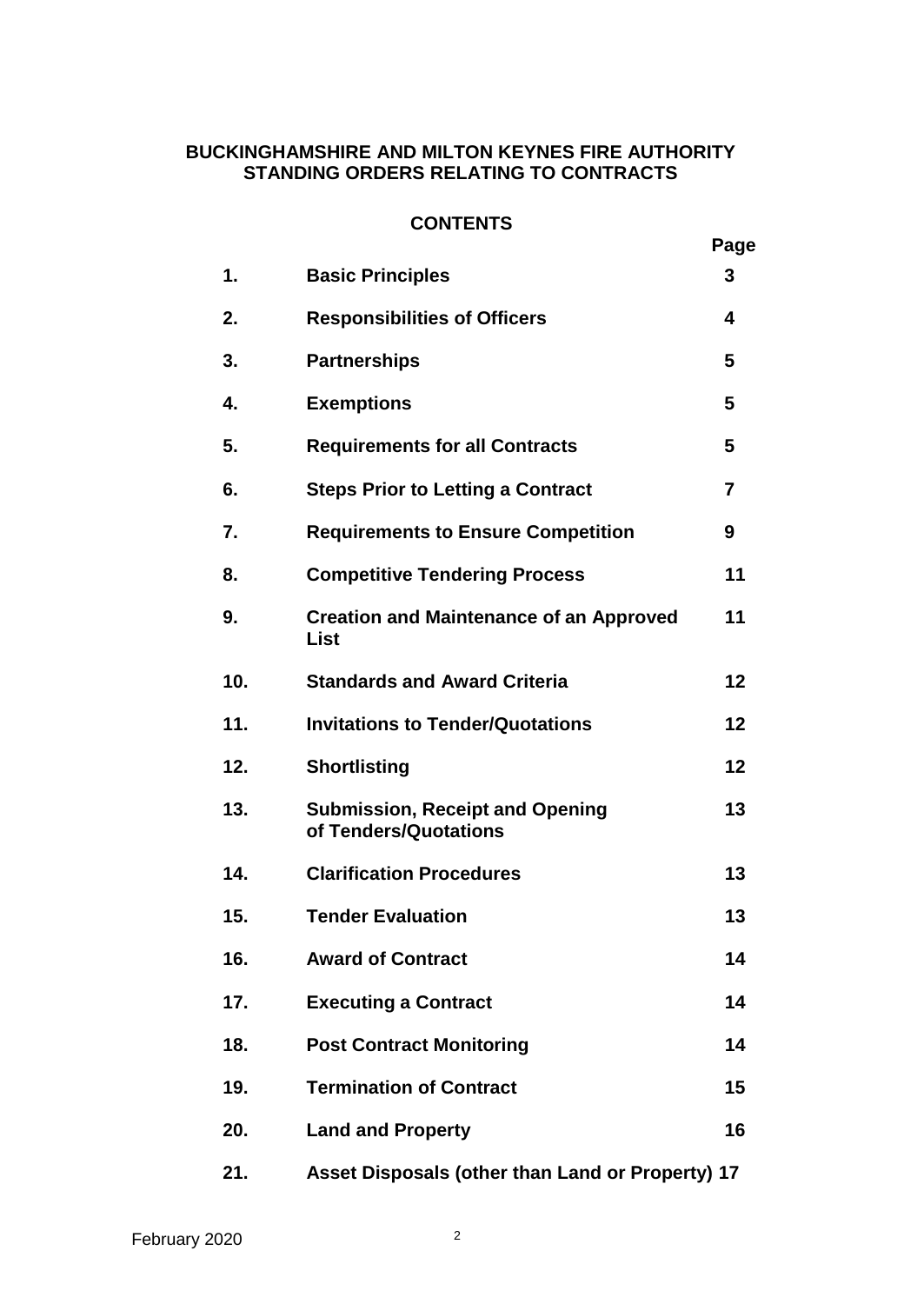# **BUCKINGHAMSHIRE AND MILTON KEYNES FIRE AUTHORITY STANDING ORDERS RELATING TO CONTRACTS**

#### **CONTENTS**

|     |                                                                 | Page           |
|-----|-----------------------------------------------------------------|----------------|
| 1.  | <b>Basic Principles</b>                                         | 3              |
| 2.  | <b>Responsibilities of Officers</b>                             | 4              |
| 3.  | <b>Partnerships</b>                                             | 5              |
| 4.  | <b>Exemptions</b>                                               | 5              |
| 5.  | <b>Requirements for all Contracts</b>                           | 5              |
| 6.  | <b>Steps Prior to Letting a Contract</b>                        | $\overline{7}$ |
| 7.  | <b>Requirements to Ensure Competition</b>                       | 9              |
| 8.  | <b>Competitive Tendering Process</b>                            | 11             |
| 9.  | <b>Creation and Maintenance of an Approved</b><br>List          | 11             |
| 10. | <b>Standards and Award Criteria</b>                             | 12             |
| 11. | <b>Invitations to Tender/Quotations</b>                         | 12             |
| 12. | <b>Shortlisting</b>                                             | 12             |
| 13. | <b>Submission, Receipt and Opening</b><br>of Tenders/Quotations | 13             |
| 14. | <b>Clarification Procedures</b>                                 | 13             |
| 15. | <b>Tender Evaluation</b>                                        | 13             |
| 16. | <b>Award of Contract</b>                                        | 14             |
| 17. | <b>Executing a Contract</b>                                     | 14             |
| 18. | <b>Post Contract Monitoring</b>                                 | 14             |
| 19. | <b>Termination of Contract</b>                                  | 15             |
| 20. | <b>Land and Property</b>                                        | 16             |
| 21. | Asset Disposals (other than Land or Property) 17                |                |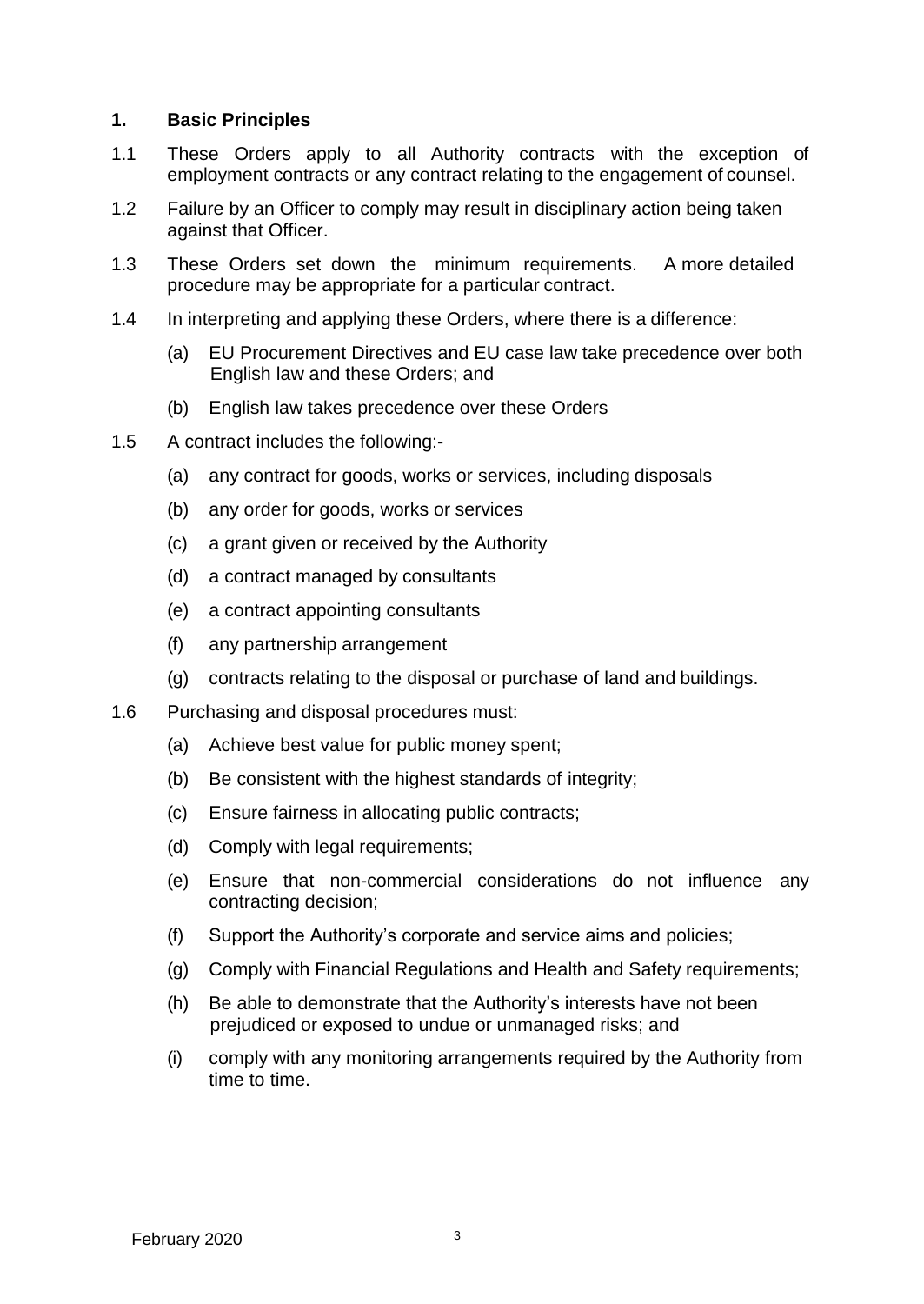#### <span id="page-3-0"></span>**1. Basic Principles**

- 1.1 These Orders apply to all Authority contracts with the exception of employment contracts or any contract relating to the engagement of counsel.
- 1.2 Failure by an Officer to comply may result in disciplinary action being taken against that Officer.
- 1.3 These Orders set down the minimum requirements. A more detailed procedure may be appropriate for a particular contract.
- 1.4 In interpreting and applying these Orders, where there is a difference:
	- (a) EU Procurement Directives and EU case law take precedence over both English law and these Orders; and
	- (b) English law takes precedence over these Orders
- 1.5 A contract includes the following:-
	- (a) any contract for goods, works or services, including disposals
	- (b) any order for goods, works or services
	- (c) a grant given or received by the Authority
	- (d) a contract managed by consultants
	- (e) a contract appointing consultants
	- (f) any partnership arrangement
	- (g) contracts relating to the disposal or purchase of land and buildings.
- 1.6 Purchasing and disposal procedures must:
	- (a) Achieve best value for public money spent;
	- (b) Be consistent with the highest standards of integrity;
	- (c) Ensure fairness in allocating public contracts;
	- (d) Comply with legal requirements;
	- (e) Ensure that non-commercial considerations do not influence any contracting decision;
	- (f) Support the Authority's corporate and service aims and policies;
	- (g) Comply with Financial Regulations and Health and Safety requirements;
	- (h) Be able to demonstrate that the Authority's interests have not been prejudiced or exposed to undue or unmanaged risks; and
	- (i) comply with any monitoring arrangements required by the Authority from time to time.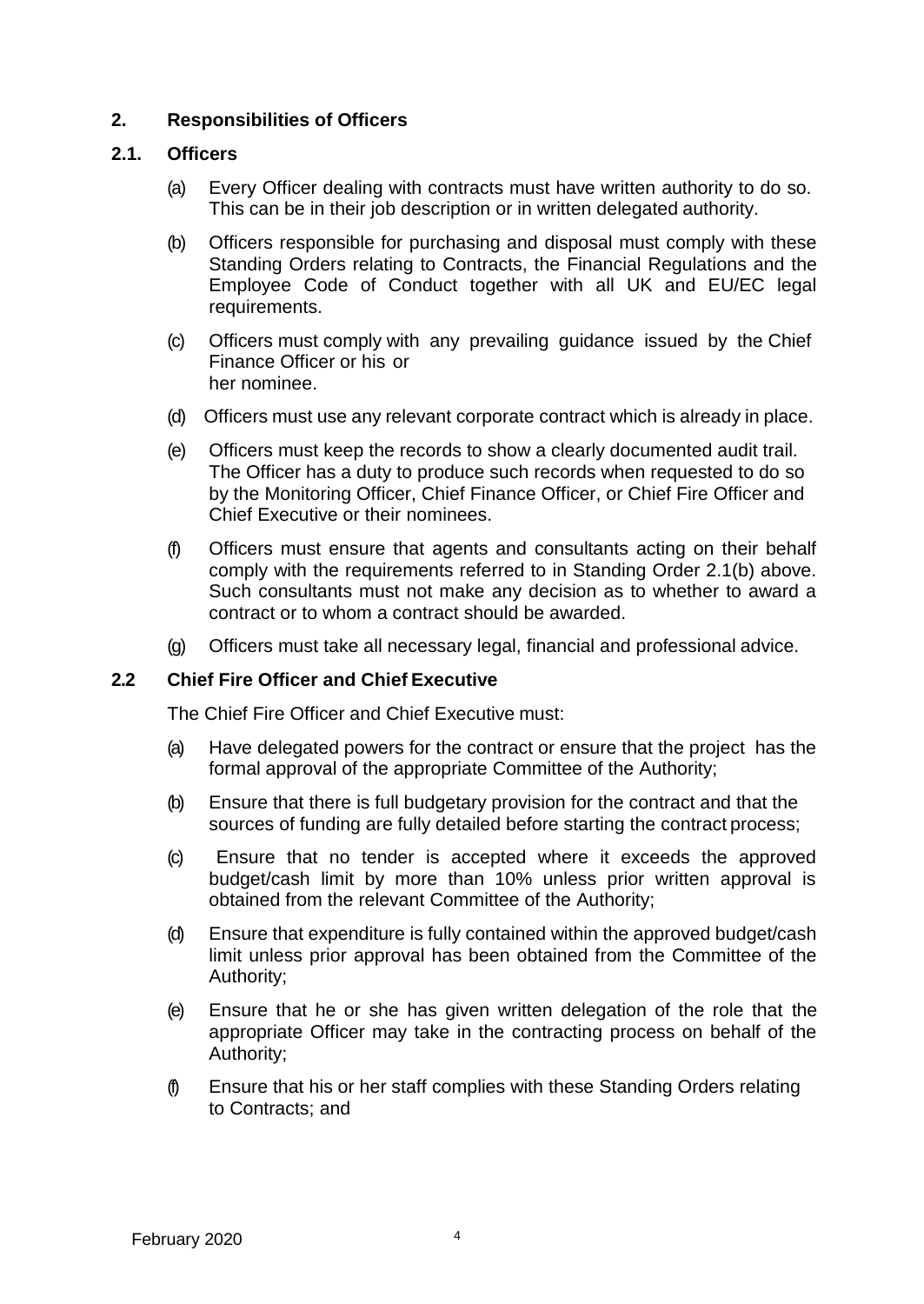## <span id="page-4-0"></span>**2. Responsibilities of Officers**

#### **2.1. Officers**

- (a) Every Officer dealing with contracts must have written authority to do so. This can be in their job description or in written delegated authority.
- (b) Officers responsible for purchasing and disposal must comply with these Standing Orders relating to Contracts, the Financial Regulations and the Employee Code of Conduct together with all UK and EU/EC legal requirements.
- (c) Officers must comply with any prevailing guidance issued by the Chief Finance Officer or his or her nominee.
- (d) Officers must use any relevant corporate contract which is already in place.
- (e) Officers must keep the records to show a clearly documented audit trail. The Officer has a duty to produce such records when requested to do so by the Monitoring Officer, Chief Finance Officer, or Chief Fire Officer and Chief Executive or their nominees.
- (f) Officers must ensure that agents and consultants acting on their behalf comply with the requirements referred to in Standing Order 2.1(b) above. Such consultants must not make any decision as to whether to award a contract or to whom a contract should be awarded.
- (g) Officers must take all necessary legal, financial and professional advice.

## **2.2 Chief Fire Officer and Chief Executive**

The Chief Fire Officer and Chief Executive must:

- (a) Have delegated powers for the contract or ensure that the project has the formal approval of the appropriate Committee of the Authority;
- (b) Ensure that there is full budgetary provision for the contract and that the sources of funding are fully detailed before starting the contract process;
- (c) Ensure that no tender is accepted where it exceeds the approved budget/cash limit by more than 10% unless prior written approval is obtained from the relevant Committee of the Authority;
- (d) Ensure that expenditure is fully contained within the approved budget/cash limit unless prior approval has been obtained from the Committee of the Authority;
- (e) Ensure that he or she has given written delegation of the role that the appropriate Officer may take in the contracting process on behalf of the Authority;
- (f) Ensure that his or her staff complies with these Standing Orders relating to Contracts; and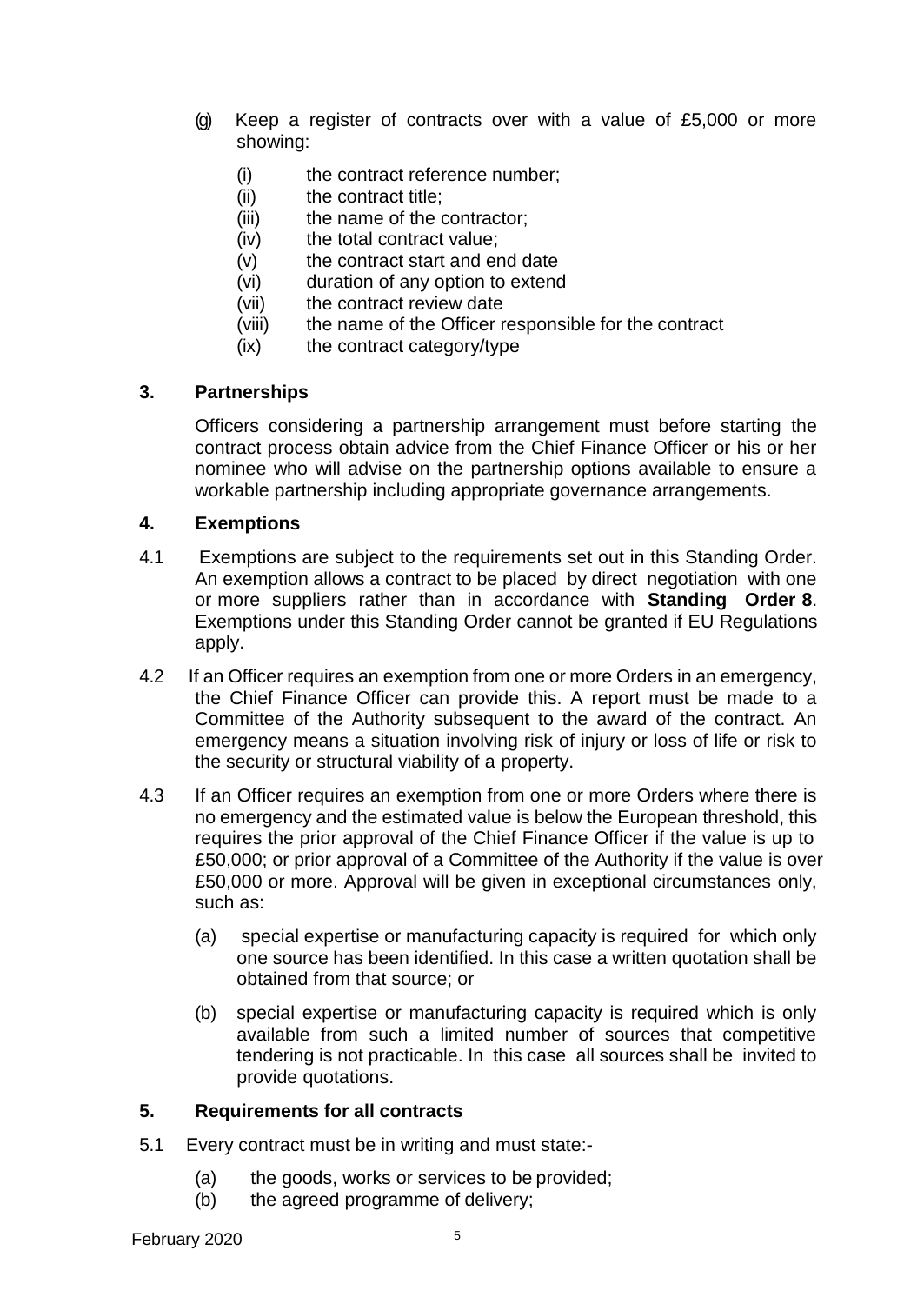- (g) Keep a register of contracts over with a value of £5,000 or more showing:
	- (i) the contract reference number;
	- (ii) the contract title;
	- (iii) the name of the contractor:
	- (iv) the total contract value;
	- (v) the contract start and end date
	- (vi) duration of any option to extend
	- (vii) the contract review date
	- (viii) the name of the Officer responsible for the contract
	- (ix) the contract category/type

## <span id="page-5-0"></span>**3. Partnerships**

Officers considering a partnership arrangement must before starting the contract process obtain advice from the Chief Finance Officer or his or her nominee who will advise on the partnership options available to ensure a workable partnership including appropriate governance arrangements.

#### <span id="page-5-1"></span>**4. Exemptions**

- 4.1 Exemptions are subject to the requirements set out in this Standing Order. An exemption allows a contract to be placed by direct negotiation with one or more suppliers rather than in accordance with **Standing Order 8**. Exemptions under this Standing Order cannot be granted if EU Regulations apply.
- 4.2 If an Officer requires an exemption from one or more Orders in an emergency, the Chief Finance Officer can provide this. A report must be made to a Committee of the Authority subsequent to the award of the contract. An emergency means a situation involving risk of injury or loss of life or risk to the security or structural viability of a property.
- 4.3 If an Officer requires an exemption from one or more Orders where there is no emergency and the estimated value is below the European threshold, this requires the prior approval of the Chief Finance Officer if the value is up to £50,000; or prior approval of a Committee of the Authority if the value is over £50,000 or more. Approval will be given in exceptional circumstances only, such as:
	- (a) special expertise or manufacturing capacity is required for which only one source has been identified. In this case a written quotation shall be obtained from that source; or
	- (b) special expertise or manufacturing capacity is required which is only available from such a limited number of sources that competitive tendering is not practicable. In this case all sources shall be invited to provide quotations.

## <span id="page-5-2"></span>**5. Requirements for all contracts**

- 5.1 Every contract must be in writing and must state:-
	- (a) the goods, works or services to be provided;
	- (b) the agreed programme of delivery;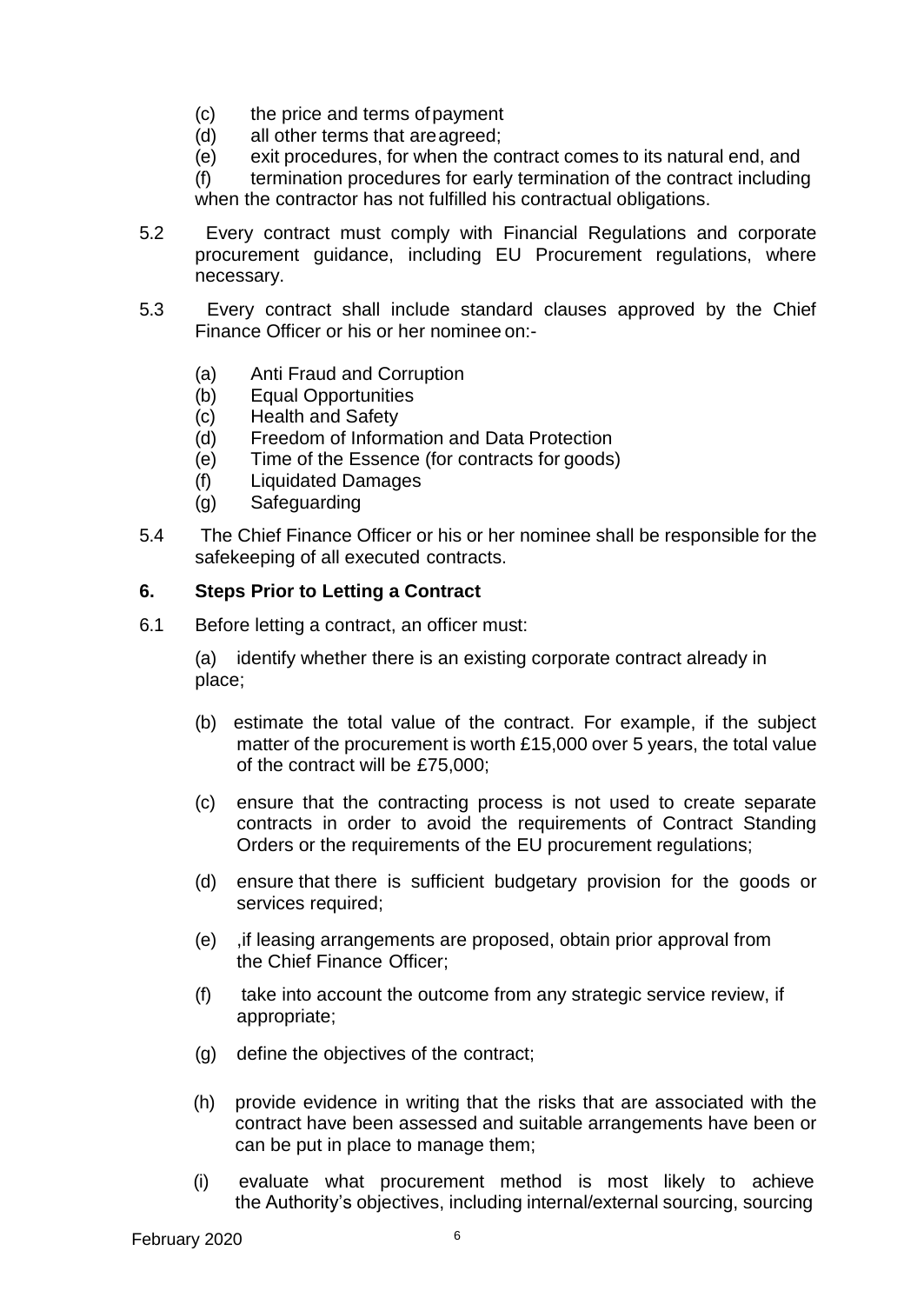- (c) the price and terms ofpayment
- (d) all other terms that areagreed;
- (e) exit procedures, for when the contract comes to its natural end, and

(f) termination procedures for early termination of the contract including when the contractor has not fulfilled his contractual obligations.

- 5.2 Every contract must comply with Financial Regulations and corporate procurement guidance, including EU Procurement regulations, where necessary.
- 5.3 Every contract shall include standard clauses approved by the Chief Finance Officer or his or her nominee on:-
	- (a) Anti Fraud and Corruption
	- (b) Equal Opportunities
	- (c) Health and Safety
	- (d) Freedom of Information and Data Protection
	- (e) Time of the Essence (for contracts for goods)
	- (f) Liquidated Damages
	- (g) Safeguarding
- 5.4 The Chief Finance Officer or his or her nominee shall be responsible for the safekeeping of all executed contracts.

## <span id="page-6-0"></span>**6. Steps Prior to Letting a Contract**

6.1 Before letting a contract, an officer must:

(a) identify whether there is an existing corporate contract already in place;

- (b) estimate the total value of the contract. For example, if the subject matter of the procurement is worth £15,000 over 5 years, the total value of the contract will be £75,000;
- (c) ensure that the contracting process is not used to create separate contracts in order to avoid the requirements of Contract Standing Orders or the requirements of the EU procurement regulations;
- (d) ensure that there is sufficient budgetary provision for the goods or services required;
- (e) ,if leasing arrangements are proposed, obtain prior approval from the Chief Finance Officer;
- (f) take into account the outcome from any strategic service review, if appropriate;
- (g) define the objectives of the contract;
- (h) provide evidence in writing that the risks that are associated with the contract have been assessed and suitable arrangements have been or can be put in place to manage them;
- (i) evaluate what procurement method is most likely to achieve the Authority's objectives, including internal/external sourcing, sourcing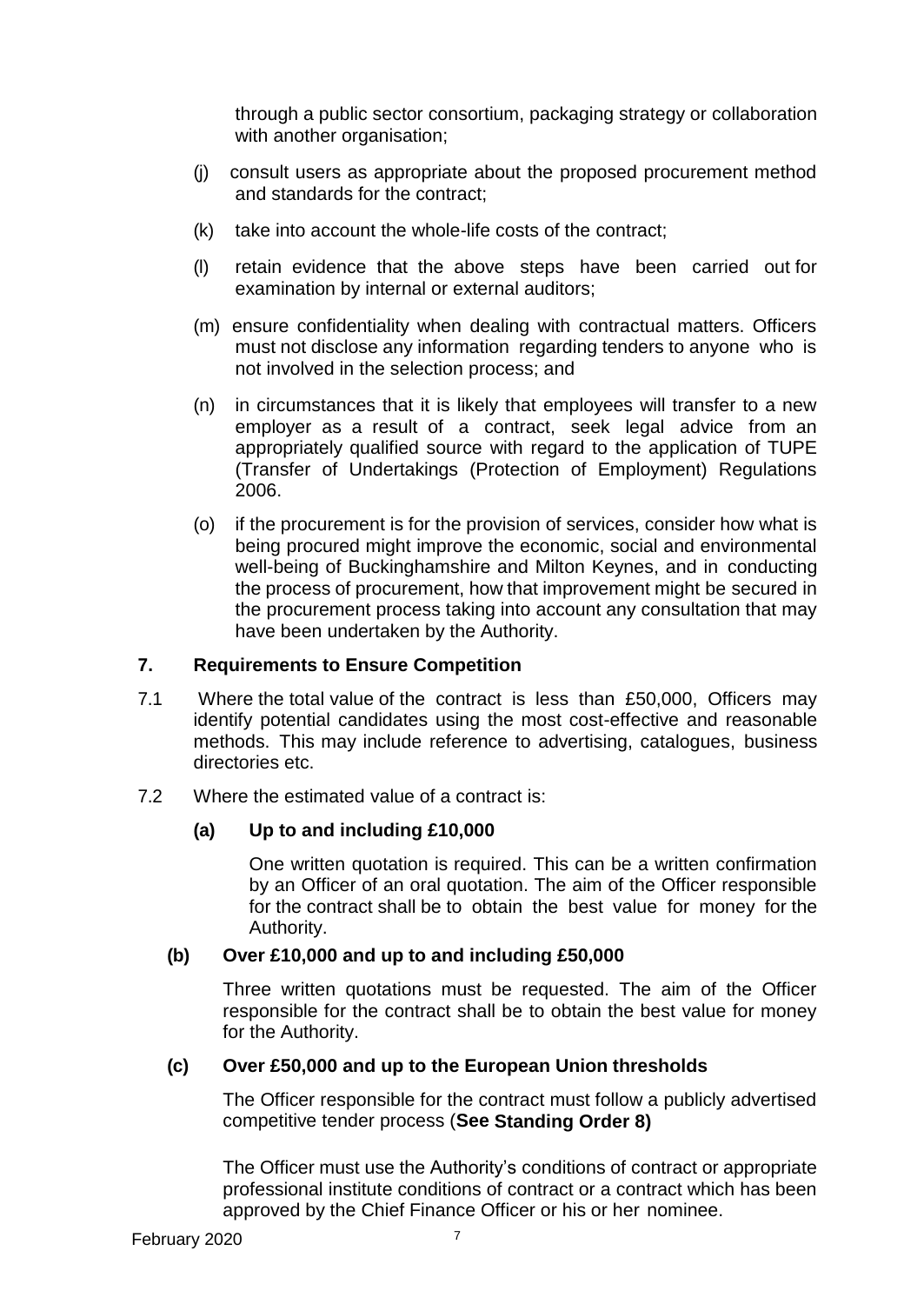through a public sector consortium, packaging strategy or collaboration with another organisation;

- (j) consult users as appropriate about the proposed procurement method and standards for the contract;
- (k) take into account the whole-life costs of the contract;
- (l) retain evidence that the above steps have been carried out for examination by internal or external auditors;
- (m) ensure confidentiality when dealing with contractual matters. Officers must not disclose any information regarding tenders to anyone who is not involved in the selection process; and
- (n) in circumstances that it is likely that employees will transfer to a new employer as a result of a contract, seek legal advice from an appropriately qualified source with regard to the application of TUPE (Transfer of Undertakings (Protection of Employment) Regulations 2006.
- (o) if the procurement is for the provision of services, consider how what is being procured might improve the economic, social and environmental well-being of Buckinghamshire and Milton Keynes, and in conducting the process of procurement, how that improvement might be secured in the procurement process taking into account any consultation that may have been undertaken by the Authority.

# <span id="page-7-0"></span>**7. Requirements to Ensure Competition**

- 7.1 Where the total value of the contract is less than £50,000, Officers may identify potential candidates using the most cost-effective and reasonable methods. This may include reference to advertising, catalogues, business directories etc.
- 7.2 Where the estimated value of a contract is:

## **(a) Up to and including £10,000**

One written quotation is required. This can be a written confirmation by an Officer of an oral quotation. The aim of the Officer responsible for the contract shall be to obtain the best value for money for the Authority.

## **(b) Over £10,000 and up to and including £50,000**

Three written quotations must be requested. The aim of the Officer responsible for the contract shall be to obtain the best value for money for the Authority.

## **(c) Over £50,000 and up to the European Union thresholds**

The Officer responsible for the contract must follow a publicly advertised competitive tender process (**See Standing Order 8)**

The Officer must use the Authority's conditions of contract or appropriate professional institute conditions of contract or a contract which has been approved by the Chief Finance Officer or his or her nominee.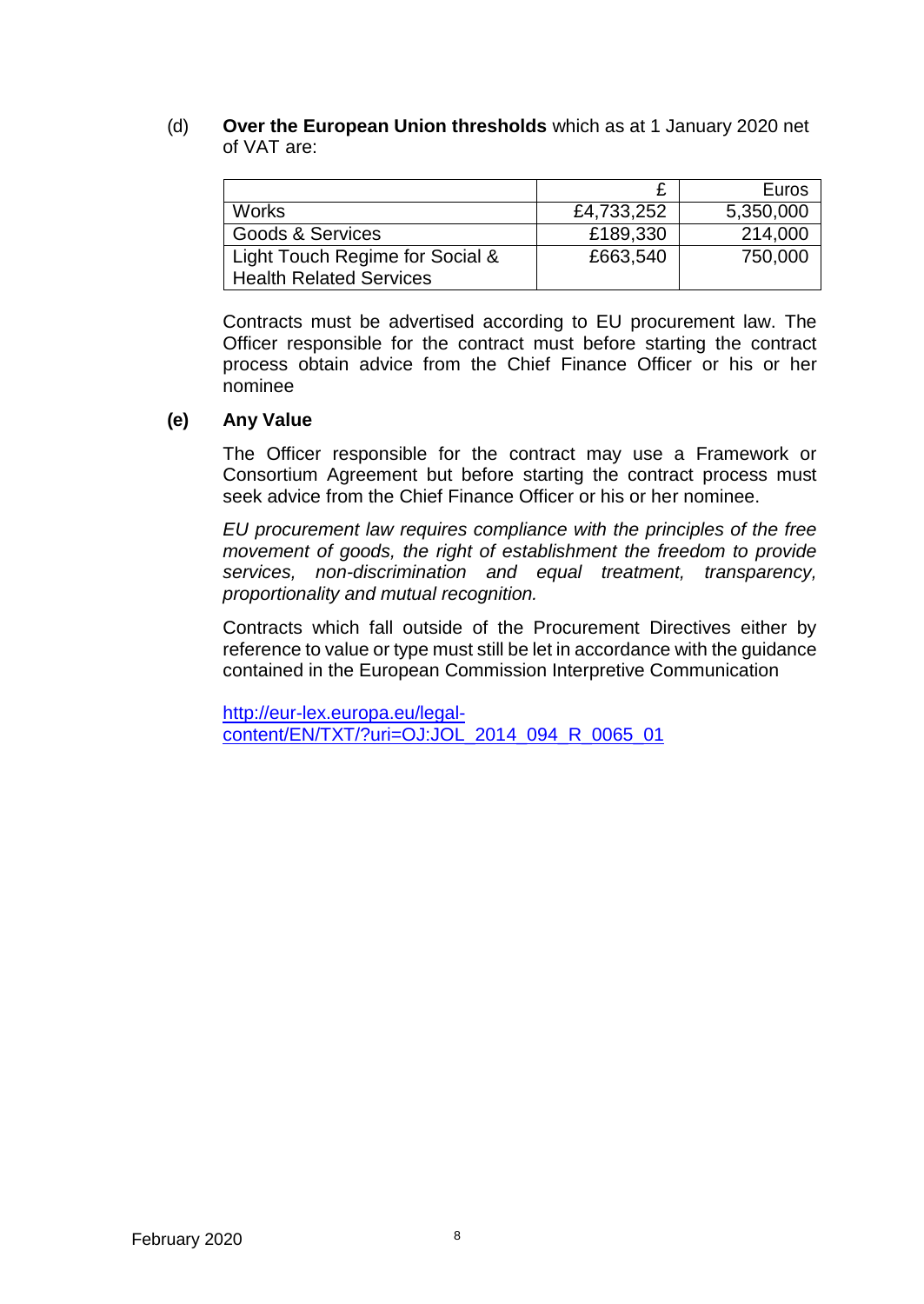(d) **Over the European Union thresholds** which as at 1 January 2020 net of VAT are:

|                                 |            | Euros     |
|---------------------------------|------------|-----------|
| <b>Works</b>                    | £4,733,252 | 5,350,000 |
| Goods & Services                | £189,330   | 214,000   |
| Light Touch Regime for Social & | £663,540   | 750,000   |
| <b>Health Related Services</b>  |            |           |

Contracts must be advertised according to EU procurement law. The Officer responsible for the contract must before starting the contract process obtain advice from the Chief Finance Officer or his or her nominee

#### **(e) Any Value**

The Officer responsible for the contract may use a Framework or Consortium Agreement but before starting the contract process must seek advice from the Chief Finance Officer or his or her nominee.

*EU procurement law requires compliance with the principles of the free movement of goods, the right of establishment the freedom to provide services, non-discrimination and equal treatment, transparency, proportionality and mutual recognition.*

Contracts which fall outside of the Procurement Directives either by reference to value or type must still be let in accordance with the guidance contained in the European Commission Interpretive Communication

[http://eur-lex.europa.eu/legal](http://eur-lex.europa.eu/legal-content/EN/TXT/?uri=OJ%3AJOL_2014_094_R_0065_01)[content/EN/TXT/?uri=OJ:JOL\\_2014\\_094\\_R\\_0065\\_01](http://eur-lex.europa.eu/legal-content/EN/TXT/?uri=OJ%3AJOL_2014_094_R_0065_01)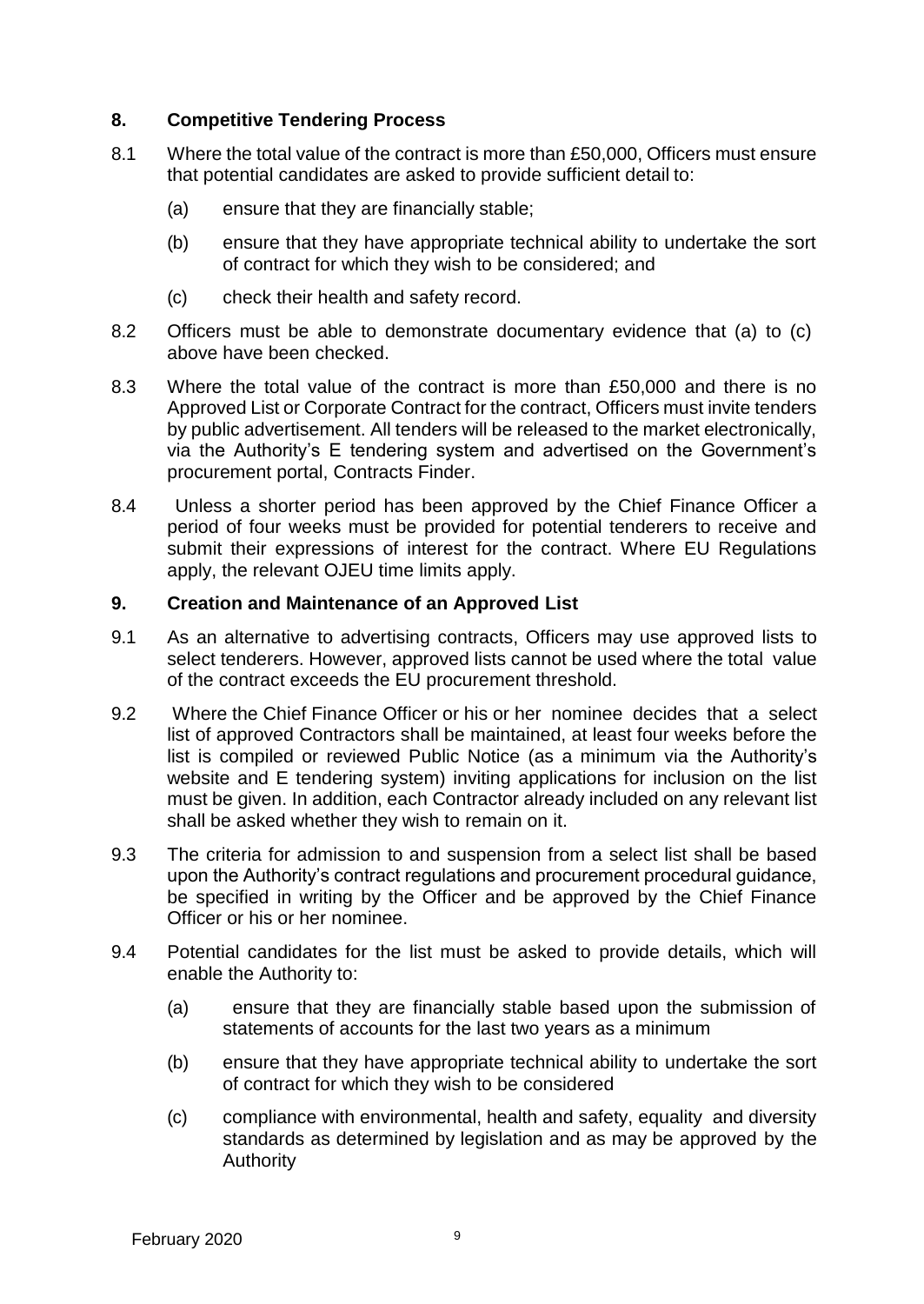## <span id="page-9-0"></span>**8. Competitive Tendering Process**

- 8.1 Where the total value of the contract is more than £50,000, Officers must ensure that potential candidates are asked to provide sufficient detail to:
	- (a) ensure that they are financially stable;
	- (b) ensure that they have appropriate technical ability to undertake the sort of contract for which they wish to be considered; and
	- (c) check their health and safety record.
- 8.2 Officers must be able to demonstrate documentary evidence that (a) to (c) above have been checked.
- 8.3 Where the total value of the contract is more than £50,000 and there is no Approved List or Corporate Contract for the contract, Officers must invite tenders by public advertisement. All tenders will be released to the market electronically, via the Authority's E tendering system and advertised on the Government's procurement portal, Contracts Finder.
- 8.4 Unless a shorter period has been approved by the Chief Finance Officer a period of four weeks must be provided for potential tenderers to receive and submit their expressions of interest for the contract. Where EU Regulations apply, the relevant OJEU time limits apply.

## **9. Creation and Maintenance of an Approved List**

- 9.1 As an alternative to advertising contracts, Officers may use approved lists to select tenderers. However, approved lists cannot be used where the total value of the contract exceeds the EU procurement threshold.
- 9.2 Where the Chief Finance Officer or his or her nominee decides that a select list of approved Contractors shall be maintained, at least four weeks before the list is compiled or reviewed Public Notice (as a minimum via the Authority's website and E tendering system) inviting applications for inclusion on the list must be given. In addition, each Contractor already included on any relevant list shall be asked whether they wish to remain on it.
- 9.3 The criteria for admission to and suspension from a select list shall be based upon the Authority's contract regulations and procurement procedural guidance, be specified in writing by the Officer and be approved by the Chief Finance Officer or his or her nominee.
- 9.4 Potential candidates for the list must be asked to provide details, which will enable the Authority to:
	- (a) ensure that they are financially stable based upon the submission of statements of accounts for the last two years as a minimum
	- (b) ensure that they have appropriate technical ability to undertake the sort of contract for which they wish to be considered
	- (c) compliance with environmental, health and safety, equality and diversity standards as determined by legislation and as may be approved by the Authority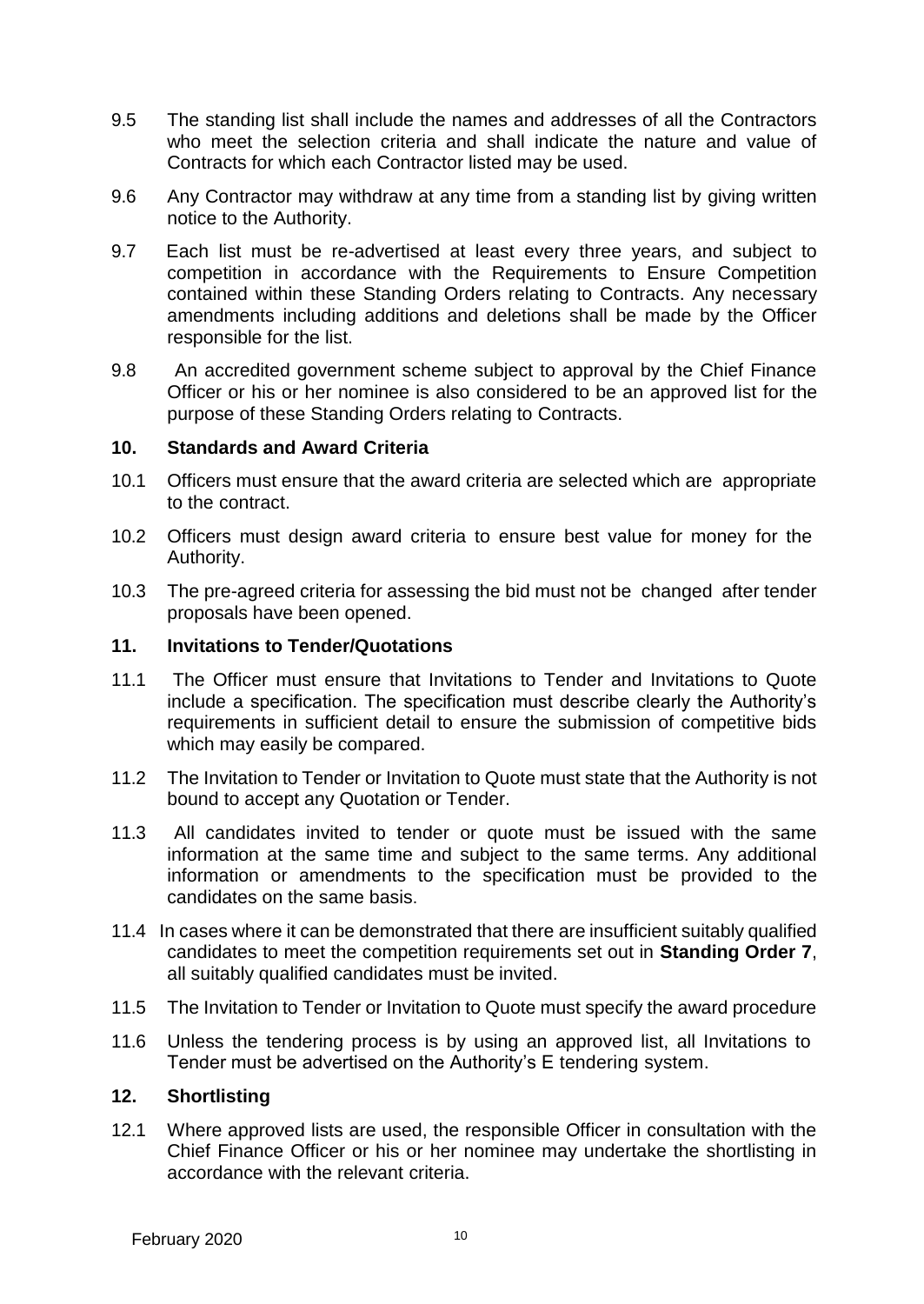- 9.5 The standing list shall include the names and addresses of all the Contractors who meet the selection criteria and shall indicate the nature and value of Contracts for which each Contractor listed may be used.
- 9.6 Any Contractor may withdraw at any time from a standing list by giving written notice to the Authority.
- 9.7 Each list must be re-advertised at least every three years, and subject to competition in accordance with the Requirements to Ensure Competition contained within these Standing Orders relating to Contracts. Any necessary amendments including additions and deletions shall be made by the Officer responsible for the list.
- 9.8 An accredited government scheme subject to approval by the Chief Finance Officer or his or her nominee is also considered to be an approved list for the purpose of these Standing Orders relating to Contracts.

#### <span id="page-10-0"></span>**10. Standards and Award Criteria**

- 10.1 Officers must ensure that the award criteria are selected which are appropriate to the contract.
- 10.2 Officers must design award criteria to ensure best value for money for the Authority.
- 10.3 The pre-agreed criteria for assessing the bid must not be changed after tender proposals have been opened.

#### <span id="page-10-1"></span>**11. Invitations to Tender/Quotations**

- 11.1 The Officer must ensure that Invitations to Tender and Invitations to Quote include a specification. The specification must describe clearly the Authority's requirements in sufficient detail to ensure the submission of competitive bids which may easily be compared.
- 11.2 The Invitation to Tender or Invitation to Quote must state that the Authority is not bound to accept any Quotation or Tender.
- 11.3 All candidates invited to tender or quote must be issued with the same information at the same time and subject to the same terms. Any additional information or amendments to the specification must be provided to the candidates on the same basis.
- 11.4 In cases where it can be demonstrated that there are insufficient suitably qualified candidates to meet the competition requirements set out in **Standing Order 7**, all suitably qualified candidates must be invited.
- 11.5 The Invitation to Tender or Invitation to Quote must specify the award procedure
- 11.6 Unless the tendering process is by using an approved list, all Invitations to Tender must be advertised on the Authority's E tendering system.

## <span id="page-10-2"></span>**12. Shortlisting**

12.1 Where approved lists are used, the responsible Officer in consultation with the Chief Finance Officer or his or her nominee may undertake the shortlisting in accordance with the relevant criteria.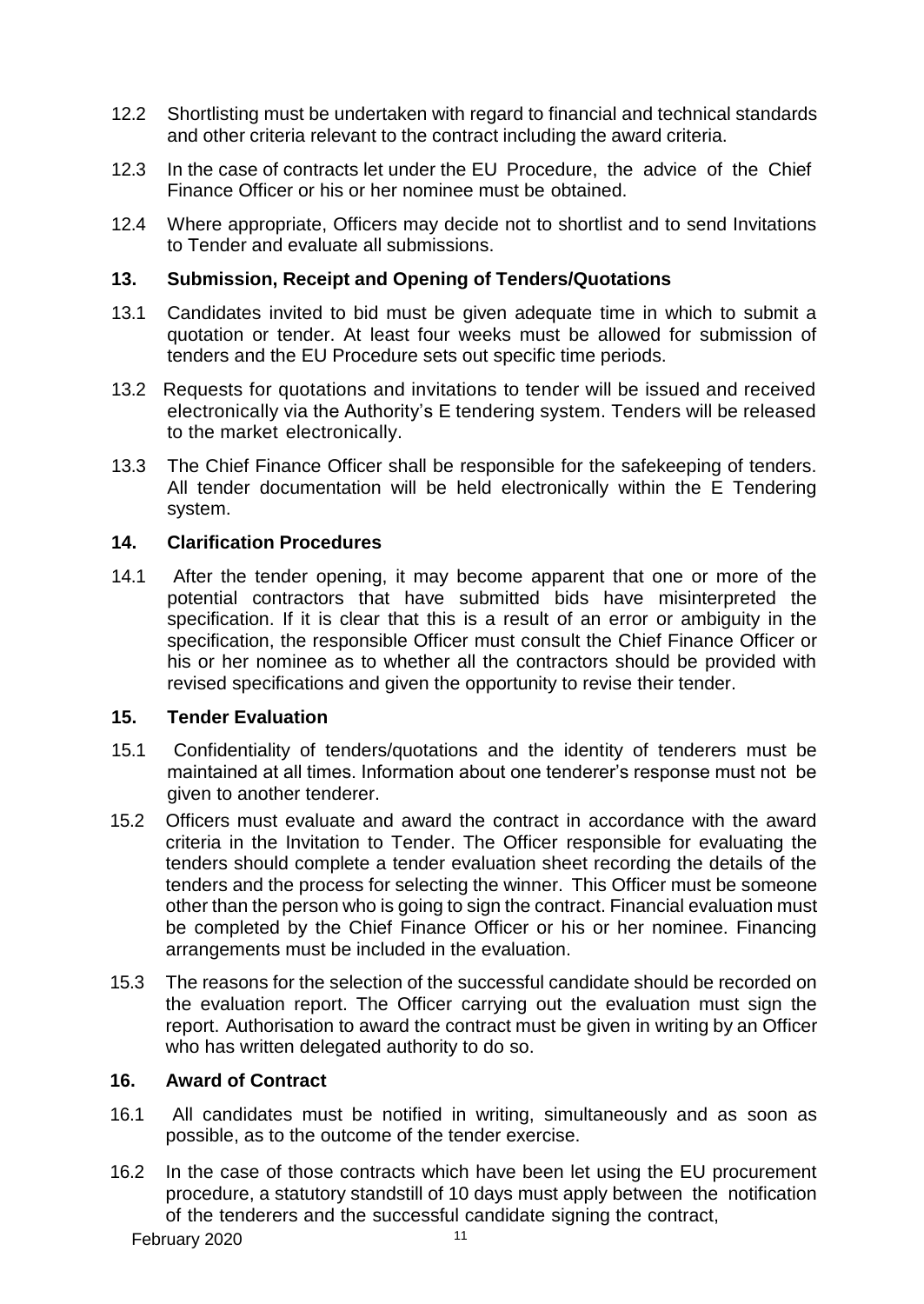- 12.2 Shortlisting must be undertaken with regard to financial and technical standards and other criteria relevant to the contract including the award criteria.
- 12.3 In the case of contracts let under the EU Procedure, the advice of the Chief Finance Officer or his or her nominee must be obtained.
- 12.4 Where appropriate, Officers may decide not to shortlist and to send Invitations to Tender and evaluate all submissions.

## **13. Submission, Receipt and Opening of Tenders/Quotations**

- 13.1 Candidates invited to bid must be given adequate time in which to submit a quotation or tender. At least four weeks must be allowed for submission of tenders and the EU Procedure sets out specific time periods.
- 13.2 Requests for quotations and invitations to tender will be issued and received electronically via the Authority's E tendering system. Tenders will be released to the market electronically.
- 13.3 The Chief Finance Officer shall be responsible for the safekeeping of tenders. All tender documentation will be held electronically within the E Tendering system.

## <span id="page-11-0"></span>**14. Clarification Procedures**

14.1 After the tender opening, it may become apparent that one or more of the potential contractors that have submitted bids have misinterpreted the specification. If it is clear that this is a result of an error or ambiguity in the specification, the responsible Officer must consult the Chief Finance Officer or his or her nominee as to whether all the contractors should be provided with revised specifications and given the opportunity to revise their tender.

## <span id="page-11-1"></span>**15. Tender Evaluation**

- 15.1 Confidentiality of tenders/quotations and the identity of tenderers must be maintained at all times. Information about one tenderer's response must not be given to another tenderer.
- 15.2 Officers must evaluate and award the contract in accordance with the award criteria in the Invitation to Tender. The Officer responsible for evaluating the tenders should complete a tender evaluation sheet recording the details of the tenders and the process for selecting the winner. This Officer must be someone other than the person who is going to sign the contract. Financial evaluation must be completed by the Chief Finance Officer or his or her nominee. Financing arrangements must be included in the evaluation.
- 15.3 The reasons for the selection of the successful candidate should be recorded on the evaluation report. The Officer carrying out the evaluation must sign the report. Authorisation to award the contract must be given in writing by an Officer who has written delegated authority to do so.

## <span id="page-11-2"></span>**16. Award of Contract**

- 16.1 All candidates must be notified in writing, simultaneously and as soon as possible, as to the outcome of the tender exercise.
- 16.2 In the case of those contracts which have been let using the EU procurement procedure, a statutory standstill of 10 days must apply between the notification of the tenderers and the successful candidate signing the contract,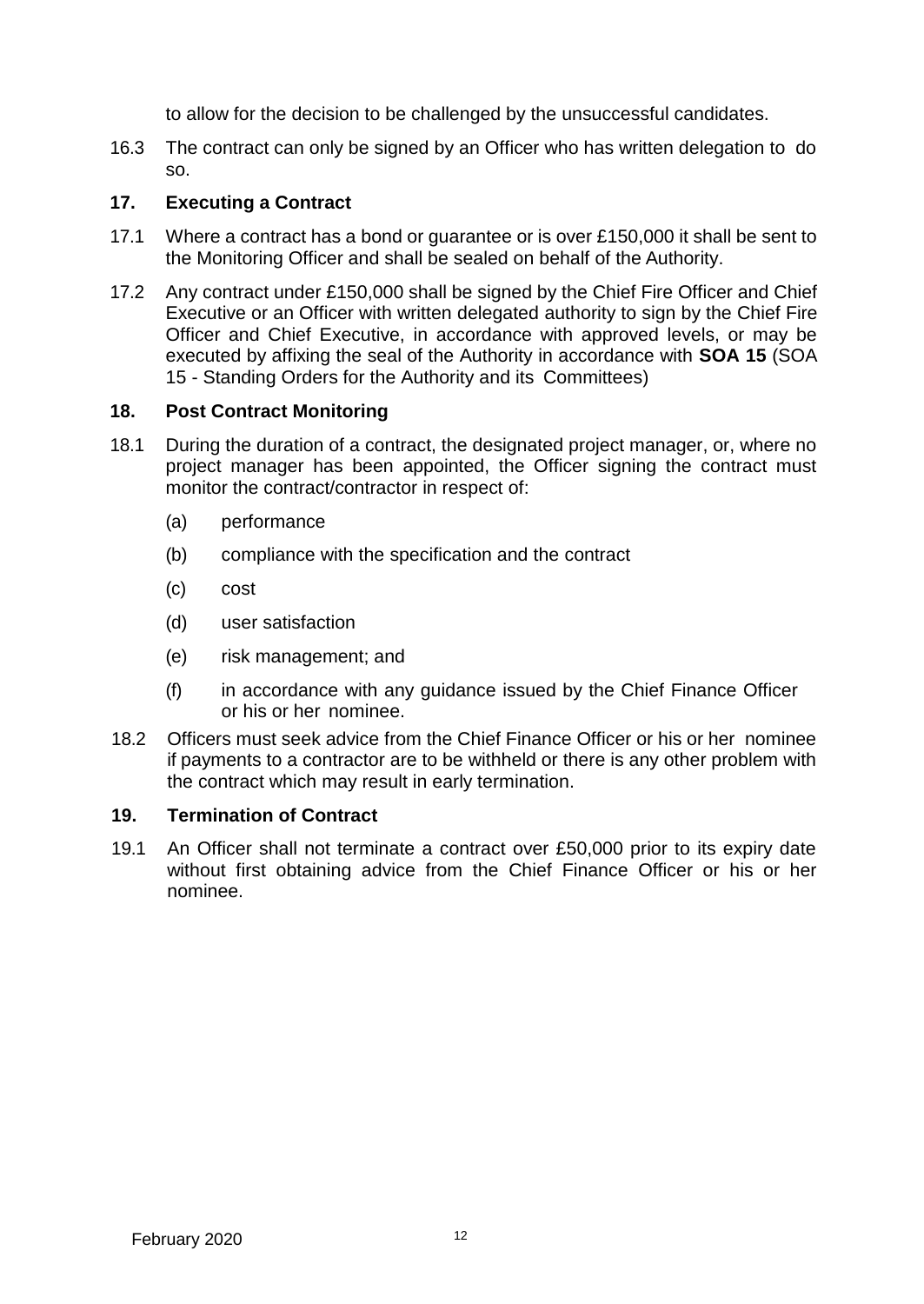to allow for the decision to be challenged by the unsuccessful candidates.

16.3 The contract can only be signed by an Officer who has written delegation to do so.

# <span id="page-12-0"></span>**17. Executing a Contract**

- 17.1 Where a contract has a bond or guarantee or is over £150,000 it shall be sent to the Monitoring Officer and shall be sealed on behalf of the Authority.
- 17.2 Any contract under £150,000 shall be signed by the Chief Fire Officer and Chief Executive or an Officer with written delegated authority to sign by the Chief Fire Officer and Chief Executive, in accordance with approved levels, or may be executed by affixing the seal of the Authority in accordance with **SOA 15** (SOA 15 - Standing Orders for the Authority and its Committees)

# <span id="page-12-1"></span>**18. Post Contract Monitoring**

- 18.1 During the duration of a contract, the designated project manager, or, where no project manager has been appointed, the Officer signing the contract must monitor the contract/contractor in respect of:
	- (a) performance
	- (b) compliance with the specification and the contract
	- (c) cost
	- (d) user satisfaction
	- (e) risk management; and
	- (f) in accordance with any guidance issued by the Chief Finance Officer or his or her nominee.
- 18.2 Officers must seek advice from the Chief Finance Officer or his or her nominee if payments to a contractor are to be withheld or there is any other problem with the contract which may result in early termination.

# <span id="page-12-2"></span>**19. Termination of Contract**

19.1 An Officer shall not terminate a contract over £50,000 prior to its expiry date without first obtaining advice from the Chief Finance Officer or his or her nominee.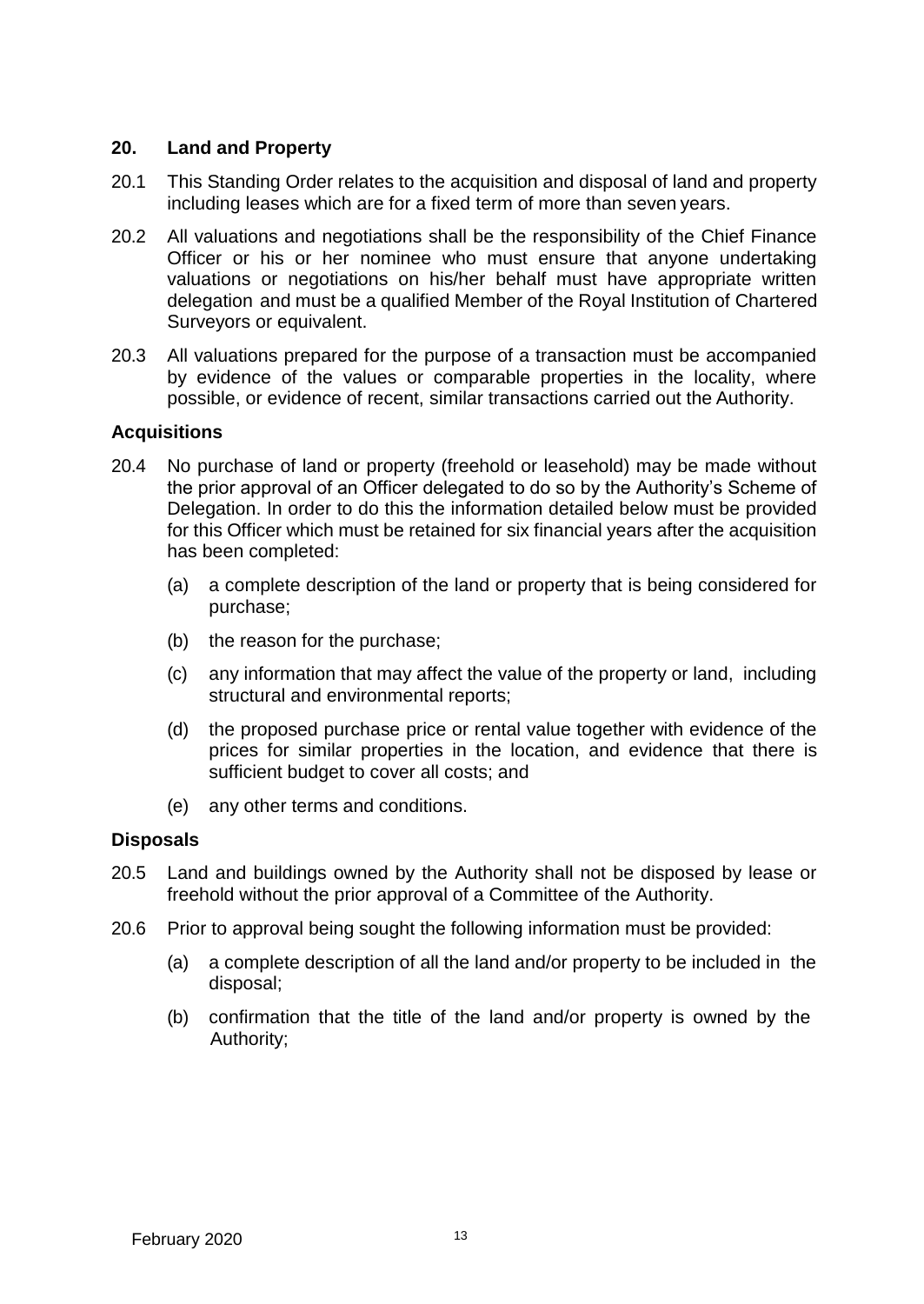## <span id="page-13-0"></span>**20. Land and Property**

- 20.1 This Standing Order relates to the acquisition and disposal of land and property including leases which are for a fixed term of more than seven years.
- 20.2 All valuations and negotiations shall be the responsibility of the Chief Finance Officer or his or her nominee who must ensure that anyone undertaking valuations or negotiations on his/her behalf must have appropriate written delegation and must be a qualified Member of the Royal Institution of Chartered Surveyors or equivalent.
- 20.3 All valuations prepared for the purpose of a transaction must be accompanied by evidence of the values or comparable properties in the locality, where possible, or evidence of recent, similar transactions carried out the Authority.

#### **Acquisitions**

- 20.4 No purchase of land or property (freehold or leasehold) may be made without the prior approval of an Officer delegated to do so by the Authority's Scheme of Delegation. In order to do this the information detailed below must be provided for this Officer which must be retained for six financial years after the acquisition has been completed:
	- (a) a complete description of the land or property that is being considered for purchase;
	- (b) the reason for the purchase;
	- (c) any information that may affect the value of the property or land, including structural and environmental reports;
	- (d) the proposed purchase price or rental value together with evidence of the prices for similar properties in the location, and evidence that there is sufficient budget to cover all costs; and
	- (e) any other terms and conditions.

## **Disposals**

- 20.5 Land and buildings owned by the Authority shall not be disposed by lease or freehold without the prior approval of a Committee of the Authority.
- 20.6 Prior to approval being sought the following information must be provided:
	- (a) a complete description of all the land and/or property to be included in the disposal;
	- (b) confirmation that the title of the land and/or property is owned by the Authority;